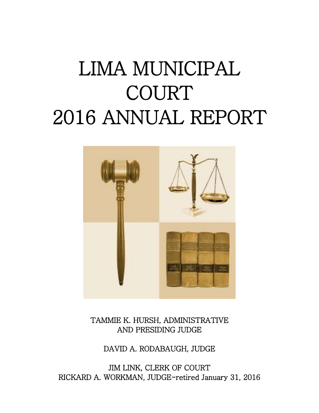### LIMA MUNICIPAL COURT 2016 ANNUAL REPORT



TAMMIE K. HURSH, ADMINISTRATIVE AND PRESIDING JUDGE

DAVID A. RODABAUGH, JUDGE

JIM LINK, CLERK OF COURT RICKARD A. WORKMAN, JUDGE-retired January 31, 2016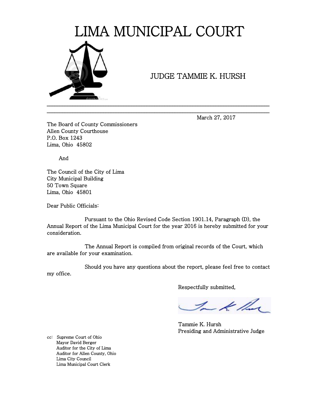

#### JUDGE TAMMIE K. HURSH

March 27, 2017

The Board of County Commissioners Allen County Courthouse P.O. Box 1243 Lima, Ohio 45802

And

The Council of the City of Lima City Municipal Building 50 Town Square Lima, Ohio 45801

Dear Public Officials:

 Pursuant to the Ohio Revised Code Section 1901.14, Paragraph (D), the Annual Report of the Lima Municipal Court for the year 2016 is hereby submitted for your consideration.

\_\_\_\_\_\_\_\_\_\_\_\_\_\_\_\_\_\_\_\_\_\_\_\_\_\_\_\_\_\_\_\_\_\_\_\_\_\_\_\_\_\_\_\_\_\_\_\_\_\_\_\_\_\_\_\_\_\_\_\_\_\_\_\_\_\_\_\_\_\_\_\_\_\_\_\_\_\_\_\_\_\_\_\_\_\_\_

 The Annual Report is compiled from original records of the Court, which are available for your examination.

 Should you have any questions about the report, please feel free to contact my office.

Respectfully submitted,

and the

 Tammie K. Hursh Presiding and Administrative Judge

cc: Supreme Court of Ohio Mayor David Berger Auditor for the City of Lima Auditor for Allen County, Ohio Lima City Council Lima Municipal Court Clerk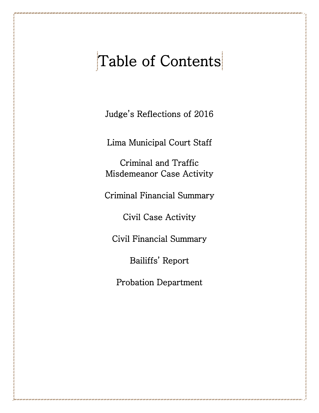### Table of Contents

Judge's Reflections of 2016

Lima Municipal Court Staff

Criminal and Traffic Misdemeanor Case Activity

Criminal Financial Summary

Civil Case Activity

Civil Financial Summary

Bailiffs' Report

Probation Department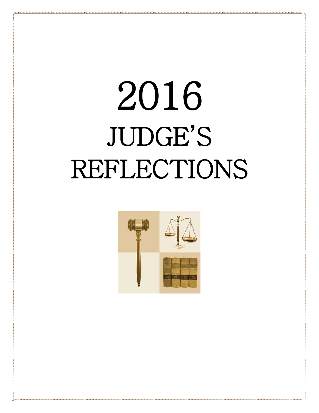## 2016 JUDGE'S REFLECTIONS

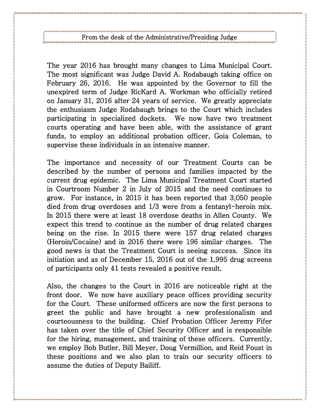#### From the desk of the Administrative/Presiding Judge

The year 2016 has brought many changes to Lima Municipal Court. The most significant was Judge David A. Rodabaugh taking office on February 26, 2016. He was appointed by the Governor to fill the unexpired term of Judge RicKard A. Workman who officially retired on January 31, 2016 after 24 years of service. We greatly appreciate the enthusiasm Judge Rodabaugh brings to the Court which includes participating in specialized dockets. We now have two treatment courts operating and have been able, with the assistance of grant funds, to employ an additional probation officer, Goia Coleman, to supervise these individuals in an intensive manner.

The importance and necessity of our Treatment Courts can be described by the number of persons and families impacted by the current drug epidemic. The Lima Municipal Treatment Court started in Courtroom Number 2 in July of 2015 and the need continues to grow. For instance, in 2015 it has been reported that 3,050 people died from drug overdoses and 1/3 were from a fentanyl-heroin mix. In 2015 there were at least 18 overdose deaths in Allen County. We expect this trend to continue as the number of drug related charges being on the rise. In 2015 there were 157 drug related charges (Heroin/Cocaine) and in 2016 there were 196 similar charges. The good news is that the Treatment Court is seeing success. Since its initiation and as of December 15, 2016 out of the 1,995 drug screens of participants only 41 tests revealed a positive result.

Also, the changes to the Court in 2016 are noticeable right at the front door. We now have auxiliary peace offices providing security for the Court. These uniformed officers are now the first persons to greet the public and have brought a new professionalism and courteousness to the building. Chief Probation Officer Jeremy Fifer has taken over the title of Chief Security Officer and is responsible for the hiring, management, and training of these officers. Currently, we employ Bob Butler, Bill Meyer, Doug Vermillion, and Reid Foust in these positions and we also plan to train our security officers to assume the duties of Deputy Bailiff.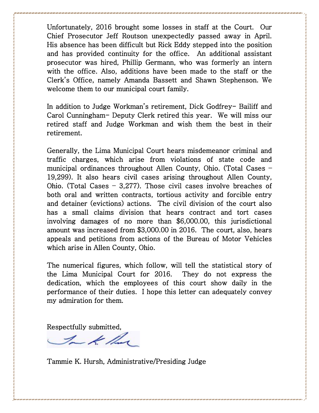Unfortunately, 2016 brought some losses in staff at the Court. Our Chief Prosecutor Jeff Routson unexpectedly passed away in April. His absence has been difficult but Rick Eddy stepped into the position and has provided continuity for the office. An additional assistant prosecutor was hired, Phillip Germann, who was formerly an intern with the office. Also, additions have been made to the staff or the Clerk's Office, namely Amanda Bassett and Shawn Stephenson. We welcome them to our municipal court family.

In addition to Judge Workman's retirement, Dick Godfrey- Bailiff and Carol Cunningham- Deputy Clerk retired this year. We will miss our retired staff and Judge Workman and wish them the best in their retirement.

Generally, the Lima Municipal Court hears misdemeanor criminal and traffic charges, which arise from violations of state code and municipal ordinances throughout Allen County, Ohio. (Total Cases – 19,299). It also hears civil cases arising throughout Allen County, Ohio. (Total Cases – 3,277). Those civil cases involve breaches of both oral and written contracts, tortious activity and forcible entry and detainer (evictions) actions. The civil division of the court also has a small claims division that hears contract and tort cases involving damages of no more than \$6,000.00, this jurisdictional amount was increased from \$3,000.00 in 2016. The court, also, hears appeals and petitions from actions of the Bureau of Motor Vehicles which arise in Allen County, Ohio.

The numerical figures, which follow, will tell the statistical story of the Lima Municipal Court for 2016. They do not express the dedication, which the employees of this court show daily in the performance of their duties. I hope this letter can adequately convey my admiration for them.

Respectfully submitted,

In K Plus

Tammie K. Hursh, Administrative/Presiding Judge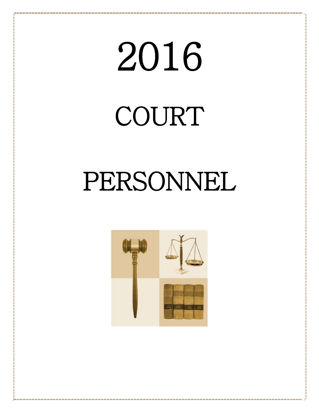# 2016 COURT

## PERSONNEL

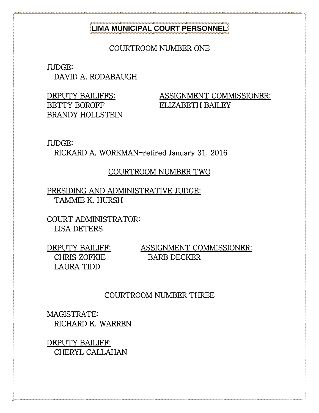#### **LIMA MUNICIPAL COURT PERSONNEL**

#### COURTROOM NUMBER ONE

#### JUDGE: DAVID A. RODABAUGH

BETTY BOROFF ELIZABETH BAILEY BRANDY HOLLSTEIN

### DEPUTY BAILIFFS: ASSIGNMENT COMMISSIONER:

JUDGE:

RICKARD A. WORKMAN-retired January 31, 2016

#### COURTROOM NUMBER TWO

PRESIDING AND ADMINISTRATIVE JUDGE: TAMMIE K. HURSH

COURT ADMINISTRATOR: LISA DETERS

LAURA TIDD

DEPUTY BAILIFF: ASSIGNMENT COMMISSIONER: CHRIS ZOFKIE BARB DECKER

#### COURTROOM NUMBER THREE

MAGISTRATE: RICHARD K. WARREN

DEPUTY BAILIFF: CHERYL CALLAHAN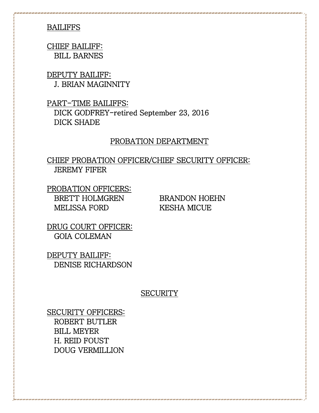#### BAILIFFS

#### CHIEF BAILIFF: BILL BARNES

DEPUTY BAILIFF: J. BRIAN MAGINNITY

PART-TIME BAILIFFS: DICK GODFREY-retired September 23, 2016 DICK SHADE

#### PROBATION DEPARTMENT

CHIEF PROBATION OFFICER/CHIEF SECURITY OFFICER: JEREMY FIFER

PROBATION OFFICERS: BRETT HOLMGREN BRANDON HOEHN MELISSA FORD KESHA MICUE

DRUG COURT OFFICER: GOIA COLEMAN

DEPUTY BAILIFF: DENISE RICHARDSON

#### **SECURITY**

SECURITY OFFICERS: ROBERT BUTLER BILL MEYER H. REID FOUST DOUG VERMILLION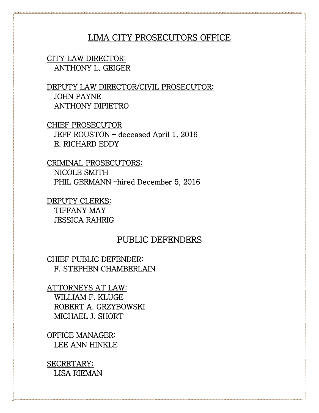#### LIMA CITY PROSECUTORS OFFICE

#### CITY LAW DIRECTOR: ANTHONY L. GEIGER

DEPUTY LAW DIRECTOR/CIVIL PROSECUTOR: JOHN PAYNE ANTHONY DIPIETRO

CHIEF PROSECUTOR JEFF ROUSTON – deceased April 1, 2016 E. RICHARD EDDY

CRIMINAL PROSECUTORS: NICOLE SMITH PHIL GERMANN –hired December 5, 2016

DEPUTY CLERKS: TIFFANY MAY JESSICA RAHRIG

#### PUBLIC DEFENDERS

CHIEF PUBLIC DEFENDER: F. STEPHEN CHAMBERLAIN

ATTORNEYS AT LAW: WILLIAM F. KLUGE ROBERT A. GRZYBOWSKI MICHAEL J. SHORT

OFFICE MANAGER: LEE ANN HINKLE

SECRETARY: LISA RIEMAN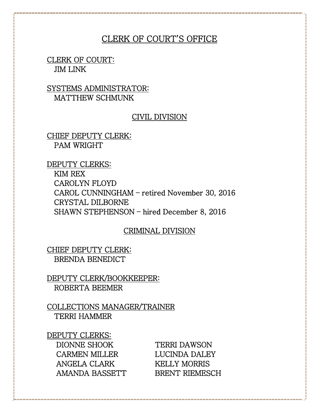#### CLERK OF COURT'S OFFICE

CLERK OF COURT: JIM LINK

#### SYSTEMS ADMINISTRATOR: MATTHEW SCHMUNK

#### CIVIL DIVISION

CHIEF DEPUTY CLERK: PAM WRIGHT

DEPUTY CLERKS: KIM REX CAROLYN FLOYD CAROL CUNNINGHAM – retired November 30, 2016 CRYSTAL DILBORNE

SHAWN STEPHENSON – hired December 8, 2016

#### CRIMINAL DIVISION

CHIEF DEPUTY CLERK: BRENDA BENEDICT

DEPUTY CLERK/BOOKKEEPER: ROBERTA BEEMER

COLLECTIONS MANAGER/TRAINER TERRI HAMMER

DEPUTY CLERKS: DIONNE SHOOK TERRI DAWSON CARMEN MILLER LUCINDA DALEY ANGELA CLARK KELLY MORRIS AMANDA BASSETT BRENT RIEMESCH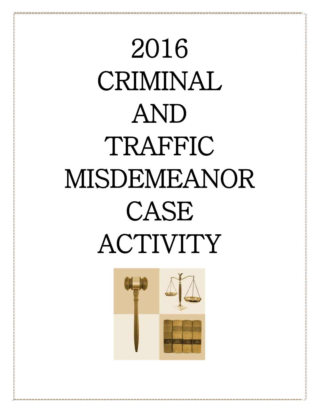## 2016 CRIMINAL AND TRAFFIC MISDEMEANOR CASE ACTIVITY

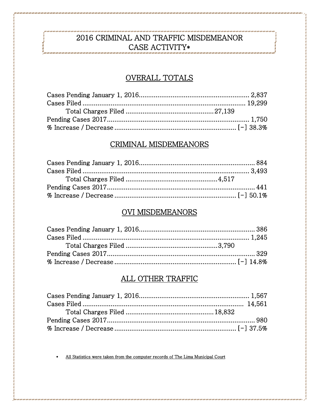#### 2016 CRIMINAL AND TRAFFIC MISDEMEANOR CASE ACTIVITY\*

#### OVERALL TOTALS

#### CRIMINAL MISDEMEANORS

#### **OVI MISDEMEANORS**

#### ALL OTHER TRAFFIC

All Statistics were taken from the computer records of The Lima Municipal Court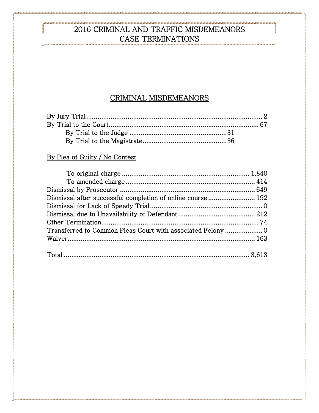#### 2016 CRIMINAL AND TRAFFIC MISDEMEANORS CASE TERMINATIONS

#### CRIMINAL MISDEMEANORS

#### By Plea of Guilty / No Contest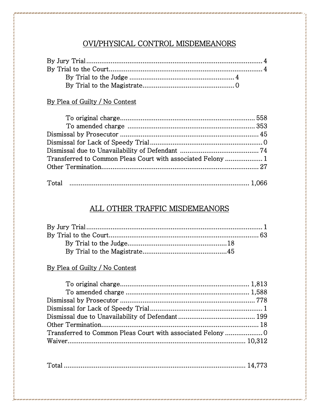#### OVI/PHYSICAL CONTROL MISDEMEANORS

#### By Plea of Guilty / No Contest

#### 

#### ALL OTHER TRAFFIC MISDEMEANORS

#### By Plea of Guilty / No Contest

| $T_{\alpha}$ |  |  |
|--------------|--|--|
|--------------|--|--|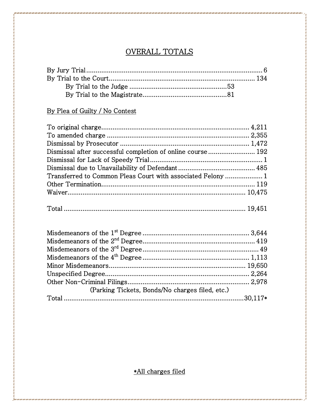#### OVERALL TOTALS

#### By Plea of Guilty / No Contest

| Dismissal after successful completion of online course 192  |  |
|-------------------------------------------------------------|--|
|                                                             |  |
|                                                             |  |
| Transferred to Common Pleas Court with associated Felony  1 |  |
|                                                             |  |
|                                                             |  |
|                                                             |  |
|                                                             |  |

| (Parking Tickets, Bonds/No charges filed, etc.) |  |
|-------------------------------------------------|--|
|                                                 |  |

\*All charges filed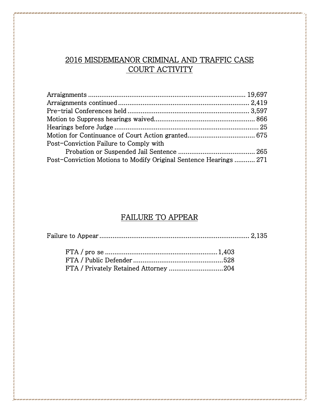#### 2016 MISDEMEANOR CRIMINAL AND TRAFFIC CASE COURT ACTIVITY

| Post-Conviction Failure to Comply with                            |  |
|-------------------------------------------------------------------|--|
|                                                                   |  |
| Post-Conviction Motions to Modify Original Sentence Hearings  271 |  |

#### FAILURE TO APPEAR

|--|--|--|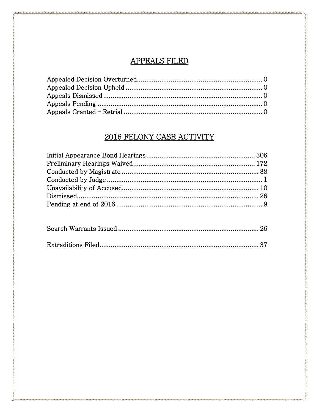#### **APPEALS FILED**

#### 2016 FELONY CASE ACTIVITY

(ani 1 ani 1 ani 1 ani 1 ani 1 ani 1 ani 1 ani 1 ani 1 ani 1 ani 1 ani 1 ani 1 ani 1 ani 1 ani 1 ani 1 ani 1 ani 1 ani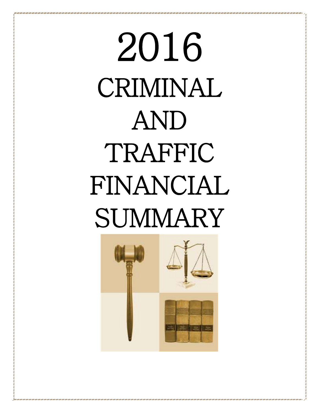## 2016 CRIMINAL AND TRAFFIC FINANCIAL **SUMMARY**

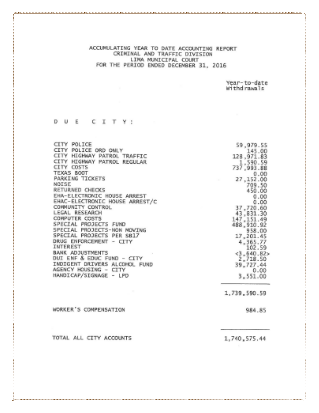Year-to-date<br>Withdrawals

#### DUE CITY:

| <b>POLICE</b><br>TV                                    | 59,979.55                             |
|--------------------------------------------------------|---------------------------------------|
| POLICE ORD ONLY<br>TY                                  | 145.00                                |
| <b>CTTV</b><br>HEGHWAY PATROL<br>TRAFFIC               | 128,971.83                            |
| <b>CITY</b><br><b>HTGHWAY</b><br><b>PATROL REGULAR</b> |                                       |
| <b>CITY</b><br><b>COSTS</b>                            | 737, 590.<br>累別                       |
| TEXAS BOOT                                             | 0.00                                  |
| PARKING TICKETS                                        | 27,152.00                             |
| MOTSE                                                  |                                       |
| RETURNED CHECKS                                        | 450.00                                |
| EHA-ELECTRONIC<br>HOUSE ARREST                         | 0.00                                  |
| EHAC-ELECTRONIC HOUSE ARREST/C                         | 0.00                                  |
| <b>CONTROL</b><br><b>COMMUNIT</b><br>TV.               | 37,720.60                             |
| RESEARCH<br>LEGAL.                                     | 43,831.30<br>147,151.49<br>488,910.92 |
| <b>CONPUTER</b><br><b>COSTS</b>                        |                                       |
| SPECIAL<br><b>PROJECTS</b><br><b>EUM?</b>              |                                       |
| SPECTAL PROJECTS-NON<br><b>NOVING</b>                  | 958.00                                |
| <b>SPECTAL</b><br><b>PROJECTS</b><br>PER SB17          | 17,201.45                             |
| DRUG.<br><b>ENFORCEMENT</b><br>$-$ CLTV                | 4,365.77                              |
| <b>TNTFREST</b>                                        | 102.59                                |
| <b>BANK ADJUSTMENTS</b>                                |                                       |
| 凡.<br>DUI ENF<br>FOUC FUND<br>$-$ CITY                 | $\frac{3.840.82}{2.718.50}$           |
| INDIGENT DRIVERS<br>ALCOHOL FUND                       | 39.727.44                             |
| AGENCY HOUSTING<br>$= CITY$                            | 0.00                                  |
| HANDICAP/SIGNAGE - LPD                                 | $3 - 551.00$                          |
|                                                        |                                       |
|                                                        | 1.739.590.59                          |
|                                                        |                                       |
| WORKER'S COMPENSATION                                  | 984.85                                |
|                                                        |                                       |
|                                                        |                                       |

TOTAL ALL CITY ACCOUNTS

1,740,575.44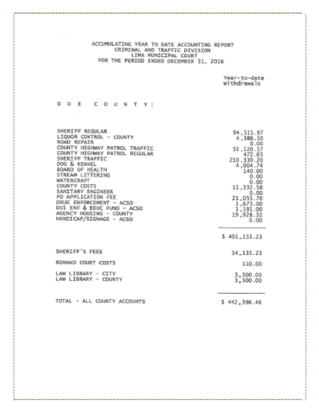Year-to-date<br>Withdrawals

#### DUE COUNTY:

| SHERIFF REGULAR<br>LIQUOR CONTROL - COUNTY<br>ROAD REPAIR<br>COUNTY HIGHWAY<br><b>PATROL</b><br>TRAFFIC<br>COUNTY HIGHWAY PATROL<br><b>REGULAR</b><br>SHERTEE TRAFFIC<br>DOG & KENNEL<br><b>BOARD OF HEALTH</b><br><b>STREAM LITTERING</b><br><b>WATER CRAFT</b><br>COUNTY COSTS<br>SANTTARY FMSTNEER<br><b>APPLICATION</b><br>PD.<br>- 阿田明<br>DRUG ENFORCEMENT -<br>ACSO.<br>DUI ENF & EDUC FUND - ACSO<br>AGENCY HOUSING<br>$-$ COUNTY<br>HANDICAP/SIGNAGE - ACSO | 94.515.97<br>4,386.50<br>0.00<br>32,120.57<br>472.65<br>210,330.20<br>4,004.74<br>140.00<br>0.00<br>0.00<br>11,332.58<br>0.00<br>21,055.70<br>1,673.00<br>1,191.00<br>19,928.32<br>0.00 |
|---------------------------------------------------------------------------------------------------------------------------------------------------------------------------------------------------------------------------------------------------------------------------------------------------------------------------------------------------------------------------------------------------------------------------------------------------------------------|-----------------------------------------------------------------------------------------------------------------------------------------------------------------------------------------|
|                                                                                                                                                                                                                                                                                                                                                                                                                                                                     | S.<br>401, 151, 23                                                                                                                                                                      |
| SHERIFF'S FEES                                                                                                                                                                                                                                                                                                                                                                                                                                                      | 34.135.23                                                                                                                                                                               |
| RENAND COURT COSTS                                                                                                                                                                                                                                                                                                                                                                                                                                                  | 110.00                                                                                                                                                                                  |
| l AM.<br>$I$ TERARY $-$ CIT<br>LAM <sup>T</sup><br>LIBRARY - COUNTY                                                                                                                                                                                                                                                                                                                                                                                                 | 3,500.00<br>3,500.00                                                                                                                                                                    |
|                                                                                                                                                                                                                                                                                                                                                                                                                                                                     |                                                                                                                                                                                         |

TOTAL - ALL COUNTY ACCOUNTS

 $$442,396.46$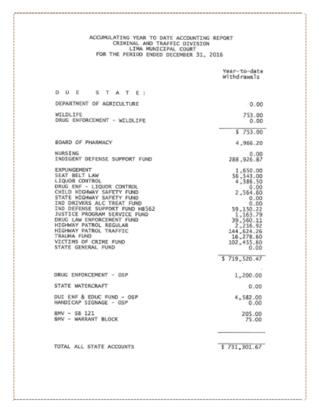|                                                                                                                                                                                                                                                                                                                                                                                             | rear-to-date<br>Withdrawals:                                                                                                                                             |
|---------------------------------------------------------------------------------------------------------------------------------------------------------------------------------------------------------------------------------------------------------------------------------------------------------------------------------------------------------------------------------------------|--------------------------------------------------------------------------------------------------------------------------------------------------------------------------|
| DUE STATE:                                                                                                                                                                                                                                                                                                                                                                                  |                                                                                                                                                                          |
| DEPARTMENT OF AGRICULTURE                                                                                                                                                                                                                                                                                                                                                                   | $-0.00$                                                                                                                                                                  |
| WILDLIFE<br>DRUG ENFORCEMENT - WILDLIFE                                                                                                                                                                                                                                                                                                                                                     | 753.00<br>0.00                                                                                                                                                           |
|                                                                                                                                                                                                                                                                                                                                                                                             | \$753.00                                                                                                                                                                 |
| BOARD OF PHARMACY                                                                                                                                                                                                                                                                                                                                                                           | 4.966.20                                                                                                                                                                 |
| <b>NURSING</b><br>INDIGENT DEFENSE SUPPORT FUND                                                                                                                                                                                                                                                                                                                                             | 0.00<br>288.926.87                                                                                                                                                       |
| <b>EXPUNGEMENT</b><br>SEAT BELT LAW<br>LIQUOR CONTROL<br>DRUG ENF - LIQUOR CONTROL<br>CHILD HIGHWAY SAFETY FUND<br>STATE HIGHWAY SAFETY FUND<br>IND DRIVERS ALC TREAT FUND<br>IND DEFENSE SUPPORT FUND H8562<br>JUSTICE PROGRAM SERVICE FUND<br>DRUG LAW ENFORCEMENT FUND<br>HIGHMAY PATROL REGULAR<br>HIGHWAY PATROL TRAFFIC<br>TRAUMA FUND<br>VICTIMS OF CRIME FUND<br>STATE GENERAL FUND | 1,650.00<br>56,543.00<br>4,386.50<br>0.00<br>2.564.60<br>0.00<br>0.00<br>59.150.22<br>1,163.79<br>39,560.11<br>2,216.92<br>144.624.26<br>16,278.60<br>102.455.60<br>0.00 |
|                                                                                                                                                                                                                                                                                                                                                                                             | 5719, 520.47                                                                                                                                                             |
| DRUG ENEGROEMENT - GSP                                                                                                                                                                                                                                                                                                                                                                      | 1,200,00                                                                                                                                                                 |
| STATE MATERCRAFT                                                                                                                                                                                                                                                                                                                                                                            | 0.00                                                                                                                                                                     |
| DUI ENF & EDUC FUND - OSP<br>HANDICAP SIGNAGE - OSP                                                                                                                                                                                                                                                                                                                                         | $4 - 582.00$<br>0.00                                                                                                                                                     |
| BMV - SB 121<br><b>BMV - WARRANT BLOCK</b>                                                                                                                                                                                                                                                                                                                                                  | 205.00<br>75.00                                                                                                                                                          |
|                                                                                                                                                                                                                                                                                                                                                                                             |                                                                                                                                                                          |

" I MIT I MIT I MIT I MIT I MIT I MIT I MIT I MIT I MIT I MIT I MIT I MIT I MIT I MIT I MIT I MIT I MIT I MIT I MIT I MIT I MIT I MIT I MIT I MIT I MIT I MIT I MIT I MIT I MIT I MIT I MIT I MIT I MIT I MIT I MIT I MIT I MI

TOTAL ALL STATE ACCOUNTS

\$731,301.67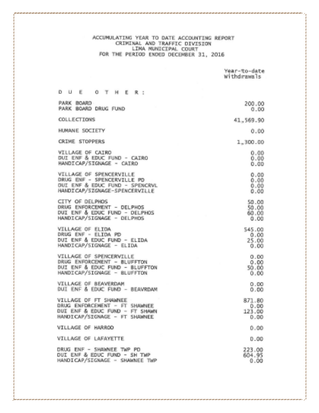Year-to-date<br>Withdrawals

| $\mathbf{U}$ $\mathbf{E}$<br>D.<br>O T H E<br>- R - 3 |           |
|-------------------------------------------------------|-----------|
| PARK ROARD-                                           | 200.00    |
| PARK BOARD DRUG FUND                                  | 0.00      |
| <b>COLLECTIONS</b>                                    | 41,569.90 |
| HUMANE SOCTETY                                        | 0.00      |
| <b>CRIME STOPPERS</b>                                 | 1,300.00  |
| VILLAGE OF CAIRO                                      | 0.00      |
| DUI ENF & EDUC FUND - CAIRO                           | 0.00      |
| HANDICAP/SIGNAGE - CAIRO                              | 0.00      |
| VILLAGE OF SPENCERVILLE                               | 0.00      |
| DRUG ENF - SPENCERVILLE PD                            | 0.00      |
| DUI ENF & EDUC FUND - SPENCRVL                        | 0.00      |
| HANDICAP/SIGNAGE-SPENCERVILLE                         | 0.00      |
| CITY OF BELPHOS                                       | 50.00     |
| DRUG ENFORCEMENT - DELPHOS                            | 50.00     |
| DUI ENF & EDUC FUND - DELPHOS                         | 60.00     |
| HANDICAP/SIGNAGE - DELPHOS                            | -0.00     |
| VILLAGE OF ELIDA                                      | 545.00    |
| DRUG ENF - ELIDA PD                                   | 0.00      |
| DUI ENF & EDUC FUND - ELIDA                           | 25.00     |
| HANDICAP/SIGNAGE - ELIDA                              | 0.00      |
| VILLAGE OF SPENCERVILLE                               | 0.00      |
| DRUG ENFORCEMENT - BLUFFTON                           | 0.00      |
| DUI ENF & EDUC FUND - BLUFFTON                        | 50.00     |
| HANDICAP/SIGNAGE - BLUFFTON                           | 0.00      |
| VILLAGE OF BEAVERDAM                                  | n na      |
| DUI ENF & EDUC FUND - BEAVRDAM                        | 0.00      |
| VILLAGE OF FT SHAWNEE                                 | 871.80    |
| DRUG ENFORCEMENT - FT SHAWNEE                         | 0.00      |
| DUI ENF & EDUC FUND - FT SHAWN                        | 123.00    |
| HANDICAP/SIGNAGE - FT SHAWNEE                         | 0.00      |
| VILLAGE OF HARROD                                     | 0.00      |
| VILLAGE OF LAFAYETTE                                  | 0.00      |
| DRUG ENF - SHAWNEE TWP PD                             | 223.00    |
| DUI ENF & EDUC FUND - SH TWP                          | 604.95    |
| HANDICAP/SIGNAGE - SHAWNEE TWP                        | 0.00      |

r i onir i onir i onir i onir i onir i onir i onir i onir i onir i onir i onir i onir i onir i onir i onir i o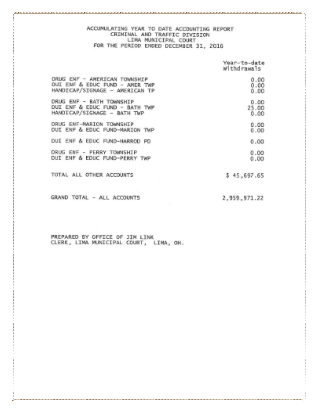|                                                                                                     | Year-to-date<br>Withdrawals |
|-----------------------------------------------------------------------------------------------------|-----------------------------|
| DRUG ENF - AMERICAN TOWNSHIP<br>DUI ENF & EDUC FUND - AMER<br>TWP<br>HANDICAP/SIGNAGE - AMERICAN TP | 0.00<br>0,00<br>0.00        |
| DRUG ENF - BATH TOWNSHIP<br>DUI ENF & EDUC FUND - BATH<br>TWP<br>HANDICAP/SIGNAGE - BATH TWP        | 0.00<br>25.00<br>0.00       |
| <b>DRUG</b><br>ENF-MARION TOWNSHIP<br>DUI ENF & EDUC FUND-MARION<br><b>TWP</b>                      | 0.00<br>0.00                |
| DUI.<br>ENF & EDUC FUND-HARROD<br>.PD                                                               | 0.00                        |
| ENF -<br><b>PERRY</b><br>DRUG.<br><b>TOWNSHIP</b><br>DUI ENF & EDUC FUND-PERRY<br>TWP               | 0.00<br>0.00                |
| TOTAL.<br>ALL.<br>OTHER ACCOUNTS                                                                    | \$45,697.65                 |
| <b>GRAND</b><br>TOTAL - ALL ACCOUNTS                                                                | 2.959.971.22                |

i anni 1 ann 1 ann 1 ann 1 ann 1 ann 1 ann 1 ann 1 ann 1 ann 1 ann 1 ann 1 ann 1 ann 1 ann 1 an

PREPARED BY OFFICE OF JIM LINK<br>CLERK, LIMA MUNICIPAL COURT, LIMA, OH.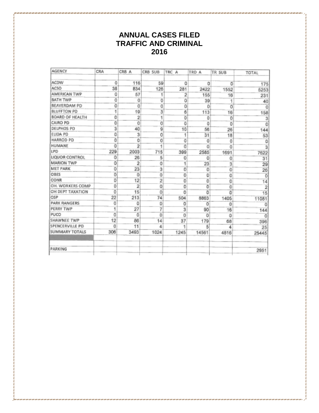#### **ANNUAL CASES FILED TRAFFIC AND CRIMINAL 2016**

| AGENCY                 | CRA                  | CRR A                   | CRB SUB        | TRC A                    | TRD A       | TR SUB            | <b>TOTAL</b>      |  |  |  |  |
|------------------------|----------------------|-------------------------|----------------|--------------------------|-------------|-------------------|-------------------|--|--|--|--|
| <b>ACDW</b>            | $\theta$             | 116                     | 59             | 0                        | o           | Ø.                | 175               |  |  |  |  |
| ACSO                   | 38                   | 834                     | 126            | 281                      | 1552        | 6253              |                   |  |  |  |  |
| AMERICAN TWP           | 0                    | 57                      | 1              | $\bar{2}$                | 2422<br>155 | 16                | 231               |  |  |  |  |
| <b>BATH TWP</b>        | O                    | 0                       | $\overline{0}$ | 0                        | 39          | 1                 | 40                |  |  |  |  |
| BEAVERDAM PD           | 0                    | 0                       | 0              | $\overline{0}$           | n           | $\Omega$          | O                 |  |  |  |  |
| <b>BLUFFTON PD</b>     | 1                    | 19                      | S              | 6                        | 113         | 16                | 158               |  |  |  |  |
| <b>BOARD OF HEALTH</b> | ō                    | 2                       | 1              | $\overline{0}$           | 0           | 0                 | 3                 |  |  |  |  |
| CAIRO PD               | $\overline{0}$       | $\overline{\mathbf{0}}$ | o              | ō                        | n           | 0                 | $\ddot{\Omega}$   |  |  |  |  |
| DELPHOS PD             | 3                    | 40                      | g              | 10                       | 56          | 26                | 144               |  |  |  |  |
| ELIDA PD               | ō                    | 3                       | Ō              | 1                        | 31          | 18                | 63                |  |  |  |  |
| <b>HARROD PD</b>       | 0                    | $\overline{0}$          | 0              | 0                        | O           | 0                 | $\ddot{\text{o}}$ |  |  |  |  |
| <b>HUMANE</b>          | 0                    | 2                       | 1              | 0                        | O           | 0                 | 3                 |  |  |  |  |
| <b>LPD</b>             | 229                  | 2003                    | 715            | 399<br>2585              |             | 1691              | 7622              |  |  |  |  |
| LIQUOR CONTROL         | 0                    | 26                      | 5              | 0<br>0                   |             | 0                 | 31                |  |  |  |  |
| <b>IMARION TWP</b>     | 0                    | 2                       | $\overline{0}$ | 1<br>23                  |             | 3                 | 29                |  |  |  |  |
| MET PARK               | 0                    | 23                      | 3              | 0<br>0                   |             | Ō                 | 26                |  |  |  |  |
| OBES                   | $\overline{0}$       | Ō                       | ō              | $\overline{0}$<br>0      |             | Ö                 | $\ddot{0}$        |  |  |  |  |
| <b>ODNR</b>            | $\overline{0}$       | 12                      |                | Ż<br>$\overline{0}$<br>0 |             | ō                 | 14                |  |  |  |  |
| OH. WORKERS COMP       | $\overline{0}$       | 2                       | ö              | $\overline{0}$<br>0<br>ō |             |                   | $\overline{2}$    |  |  |  |  |
| OH DEPT TAXATION       | $\ddot{\phantom{a}}$ | 15                      | Ď              | 0                        | 0           | $\ddot{\text{o}}$ | 15                |  |  |  |  |
| OSP                    | 22                   | 213                     | 74             | 504                      | 8863        | 1405              | 11081             |  |  |  |  |
| <b>PARK RANGERS</b>    | 0                    | 0                       | Ŭ.             | 0<br>Ω                   |             | 0                 | $\mathbf 0$       |  |  |  |  |
| PERRY TWP              | 1                    | 27                      | 7              | 3<br>90                  |             | 16                | 144               |  |  |  |  |
| <b>PUCO</b>            | 0                    | $\overline{0}$          | 0              | 0                        |             | $\theta$          | $\overline{0}$    |  |  |  |  |
| SHAWNEE TWP            | 12                   | 86                      | 14             | 37                       | 179         | 68                | 396               |  |  |  |  |
| SPENCERVILLE PD        | O                    | 11                      | 4              | 1                        | 5           | 4                 | 25                |  |  |  |  |
| SUMMARY TOTALS         | 306                  | 3493                    | 1024           | 1245                     | 14561       | 4816              | 25445             |  |  |  |  |
| PARKING                |                      |                         |                |                          |             |                   | 2951              |  |  |  |  |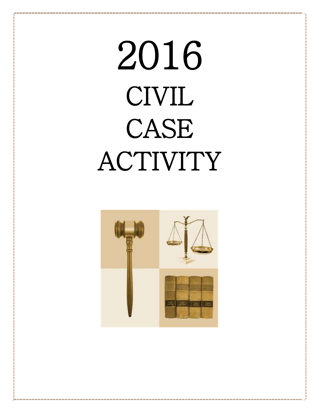## 2016 CIVIL CASE ACTIVITY

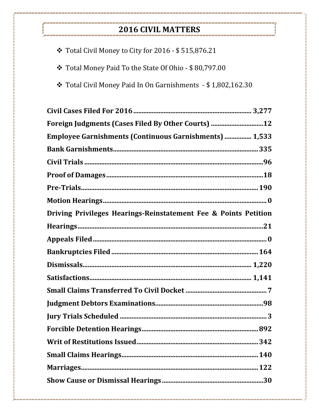#### **2016 CIVIL MATTERS**

- \* Total Civil Money to City for 2016 \$515,876.21
- \* Total Money Paid To the State Of Ohio \$80,797.00
- \* Total Civil Money Paid In On Garnishments \$1,802,162.30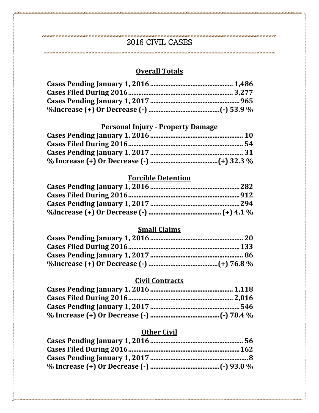#### 2016 CIVIL CASES

#### **Overall Totals**

#### **Personal Injury - Property Damage**

#### **Forcible Detention**

#### **Small Claims**

#### **Civil Contracts**

#### **Other Civil**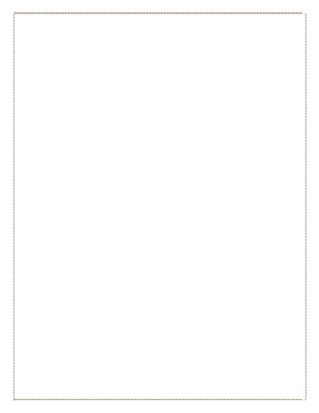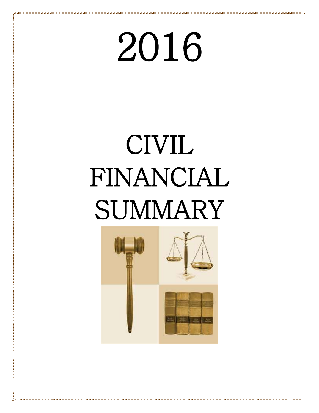# 2016

## CIVIL FINANCIAL **SUMMARY**

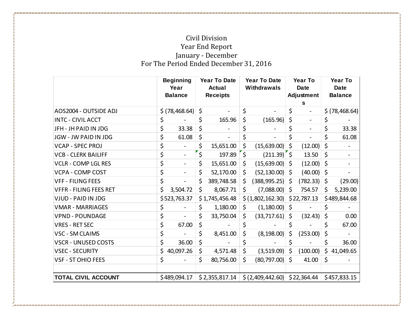#### Civil Division Year End Report January - December For The Period Ended December 31, 2016

|                               | <b>Beginning</b><br>Year<br><b>Balance</b> |                          | <b>Year To Date</b><br><b>Actual</b><br><b>Receipts</b> |                          | <b>Year To Date</b><br>Withdrawals |                                                                                                                                                                                                                                                                                                                                                                                                                                                                             | <b>Year To</b><br><b>Date</b><br>Adjustment |                          | <b>Year To</b><br><b>Date</b><br><b>Balance</b> |                 |
|-------------------------------|--------------------------------------------|--------------------------|---------------------------------------------------------|--------------------------|------------------------------------|-----------------------------------------------------------------------------------------------------------------------------------------------------------------------------------------------------------------------------------------------------------------------------------------------------------------------------------------------------------------------------------------------------------------------------------------------------------------------------|---------------------------------------------|--------------------------|-------------------------------------------------|-----------------|
|                               |                                            |                          |                                                         |                          |                                    |                                                                                                                                                                                                                                                                                                                                                                                                                                                                             |                                             | s                        |                                                 |                 |
| AOS2004 - OUTSIDE ADJ         | \$ (78, 468.64)                            |                          | \$                                                      | $\overline{\phantom{a}}$ | \$                                 |                                                                                                                                                                                                                                                                                                                                                                                                                                                                             | \$                                          | $\overline{\phantom{a}}$ |                                                 | $$$ (78,468.64) |
| <b>INTC - CIVIL ACCT</b>      | \$                                         |                          | \$                                                      | 165.96                   | \$                                 | (165.96)                                                                                                                                                                                                                                                                                                                                                                                                                                                                    | \$                                          | $\qquad \qquad -$        | \$                                              |                 |
| JFH - JH PAID IN JDG          | \$                                         | 33.38                    | \$                                                      |                          | \$                                 |                                                                                                                                                                                                                                                                                                                                                                                                                                                                             | \$                                          | $\overline{\phantom{a}}$ | \$                                              | 33.38           |
| JGW - JW PAID IN JDG          | \$                                         | 61.08                    | \$                                                      |                          | \$                                 |                                                                                                                                                                                                                                                                                                                                                                                                                                                                             | Ś                                           |                          | \$                                              | 61.08           |
| <b>VCAP - SPEC PROJ</b>       | \$                                         |                          | \$<br>15,651.00                                         |                          | \$                                 | $(15,639.00)$ \$                                                                                                                                                                                                                                                                                                                                                                                                                                                            |                                             | (12.00)                  | $\zeta$                                         |                 |
| <b>VCB - CLERK BAILIFF</b>    | \$                                         | $\overline{\phantom{a}}$ | $\overline{\varsigma}$                                  | 197.89                   | $^{\mathsf{r}}$ \$                 | $(211.39)$ \$                                                                                                                                                                                                                                                                                                                                                                                                                                                               |                                             | 13.50                    | \$                                              |                 |
| <b>VCLR - COMP LGL RES</b>    | \$                                         | $\overline{\phantom{0}}$ | \$<br>15,651.00                                         |                          | \$                                 | $(15,639.00)$ \$                                                                                                                                                                                                                                                                                                                                                                                                                                                            |                                             | $(12.00)$ \$             |                                                 |                 |
| <b>VCPA - COMP COST</b>       | \$                                         |                          | \$<br>52,170.00                                         |                          | \$                                 | $(52, 130.00)$ \$                                                                                                                                                                                                                                                                                                                                                                                                                                                           |                                             | $(40.00)$ \$             |                                                 |                 |
| <b>VFF - FILING FEES</b>      | \$                                         | $\overline{a}$           | \$<br>389,748.58                                        |                          | \$                                 | $(388, 995.25)$ \$                                                                                                                                                                                                                                                                                                                                                                                                                                                          |                                             | $(782.33)$ \$            |                                                 | (29.00)         |
| <b>VFFR - FILING FEES RET</b> | \$                                         | 3,504.72                 | \$<br>8,067.71                                          |                          | \$                                 | $(7,088.00)$ \$                                                                                                                                                                                                                                                                                                                                                                                                                                                             |                                             | 754.57                   | \$                                              | 5,239.00        |
| VJUD - PAID IN JDG            | \$523,763.37                               |                          | \$1,745,456.48                                          |                          |                                    | $\left  \frac{1}{2} \right  \left( \frac{1}{2} \right) \left  \frac{1}{2} \right  \left  \frac{1}{2} \right  \left  \frac{1}{2} \right  \left  \frac{1}{2} \right  \left  \frac{1}{2} \right  \left  \frac{1}{2} \right  \left  \frac{1}{2} \right  \left  \frac{1}{2} \right  \left  \frac{1}{2} \right  \left  \frac{1}{2} \right  \left  \frac{1}{2} \right  \left  \frac{1}{2} \right  \left  \frac{1}{2} \right  \left  \frac{1}{2} \right  \left  \frac{1}{2} \right$ |                                             |                          |                                                 | \$489,844.68    |
| <b>VMAR - MARRIAGES</b>       | \$                                         | $\overline{\phantom{0}}$ | \$<br>1,180.00                                          |                          | \$                                 | $(1,180.00)$ \$                                                                                                                                                                                                                                                                                                                                                                                                                                                             |                                             | $\overline{\phantom{0}}$ | \$                                              |                 |
| <b>VPND - POUNDAGE</b>        | \$                                         |                          | \$<br>33,750.04                                         |                          | \$                                 | $(33,717.61)$ \$                                                                                                                                                                                                                                                                                                                                                                                                                                                            |                                             | (32.43)                  | \$                                              | 0.00            |
| <b>VRES - RET SEC</b>         | \$                                         | 67.00                    | \$                                                      | $\overline{\phantom{a}}$ | \$                                 |                                                                                                                                                                                                                                                                                                                                                                                                                                                                             | \$                                          |                          | \$                                              | 67.00           |
| <b>VSC - SM CLAIMS</b>        | \$                                         | $\overline{a}$           | \$<br>8,451.00                                          |                          | \$                                 | (8, 198.00)                                                                                                                                                                                                                                                                                                                                                                                                                                                                 | $\zeta$                                     | (253.00)                 | \$                                              |                 |
| <b>VSCR - UNUSED COSTS</b>    | \$                                         | 36.00                    | \$                                                      |                          | \$                                 |                                                                                                                                                                                                                                                                                                                                                                                                                                                                             | $\zeta$                                     |                          | \$                                              | 36.00           |
| <b>VSEC - SECURITY</b>        | \$.<br>40,097.26                           |                          | \$<br>4,571.48                                          |                          | \$                                 | $(3,519.09)$ \$                                                                                                                                                                                                                                                                                                                                                                                                                                                             |                                             | (100.00)                 | \$.                                             | 41,049.65       |
| <b>VSF - ST OHIO FEES</b>     | \$                                         |                          | \$<br>80,756.00                                         |                          | \$                                 | $(80, 797.00)$ \$                                                                                                                                                                                                                                                                                                                                                                                                                                                           |                                             | 41.00                    | \$                                              |                 |
|                               |                                            |                          |                                                         |                          |                                    |                                                                                                                                                                                                                                                                                                                                                                                                                                                                             |                                             |                          |                                                 |                 |
| <b>TOTAL CIVIL ACCOUNT</b>    | \$489,094.17                               |                          |                                                         |                          |                                    | $\frac{1}{2}$ 2,355,817.14 $\frac{1}{2}$ (2,409,442.60) $\frac{1}{2}$ 22,364.44 $\frac{1}{2}$ 457,833.15                                                                                                                                                                                                                                                                                                                                                                    |                                             |                          |                                                 |                 |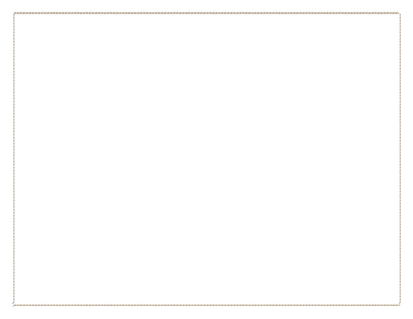ie ie kalender kalender kalender kalender kalender kalender kalender kalender kalender kalender kalender kalender kalender kale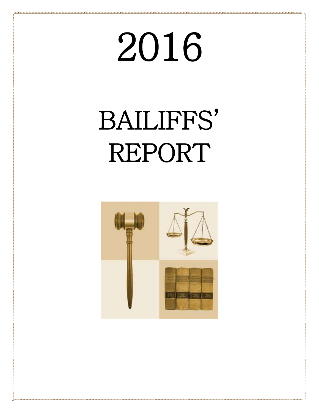# 2016

## BAILIFFS' REPORT

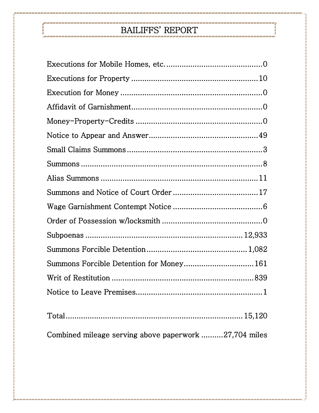### BAILIFFS' REPORT

| Summons Forcible Detention for Money 161              |
|-------------------------------------------------------|
|                                                       |
|                                                       |
|                                                       |
| Combined mileage serving above paperwork 27,704 miles |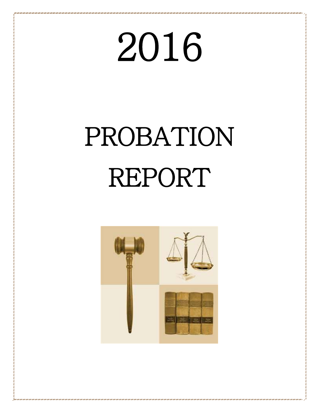# 2016

## PROBATION REPORT

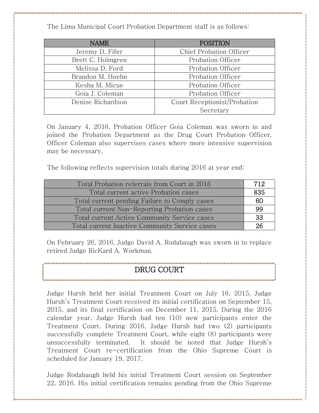The Lima Municipal Court Probation Department staff is as follows:

| <b>NAME</b>       | <b>POSITION</b>              |  |  |  |
|-------------------|------------------------------|--|--|--|
| Jeremy D. Fifer   | Chief Probation Officer      |  |  |  |
| Brett C. Holmgren | Probation Officer            |  |  |  |
| Melissa D. Ford   | Probation Officer            |  |  |  |
| Brandon M. Hoehn  | Probation Officer            |  |  |  |
| Kesha M. Micue    | Probation Officer            |  |  |  |
| Goia J. Coleman   | Probation Officer            |  |  |  |
| Denise Richardson | Court Receptionist/Probation |  |  |  |
|                   | Secretary                    |  |  |  |

On January 4, 2016, Probation Officer Goia Coleman was sworn in and joined the Probation Department as the Drug Court Probation Officer. Officer Coleman also supervises cases where more intensive supervision may be necessary.

The following reflects supervision totals during 2016 at year end:

| Total Probation referrals from Court in 2016   | 712 |
|------------------------------------------------|-----|
| Total current active Probation cases           | 835 |
| Total current pending Failure to Comply cases  | 60  |
| Total current Non-Reporting Probation cases    | 99  |
| Total current Active Community Service cases   | 33  |
| Total current Inactive Community Service cases | 26  |

On February 26, 2016, Judge David A. Rodabaugh was sworn in to replace retired Judge RicKard A. Workman.

#### DRUG COURT

Judge Hursh held her initial Treatment Court on July 16, 2015. Judge Hursh's Treatment Court received its initial certification on September 15, 2015, and its final certification on December 11, 2015. During the 2016 calendar year, Judge Hursh had ten (10) new participants enter the Treatment Court. During 2016, Judge Hursh had two (2) participants successfully complete Treatment Court, while eight (8) participants were unsuccessfully terminated. It should be noted that Judge Hursh's Treatment Court re-certification from the Ohio Supreme Court is scheduled for January 19, 2017.

Judge Rodabaugh held his initial Treatment Court session on September 22, 2016. His initial certification remains pending from the Ohio Supreme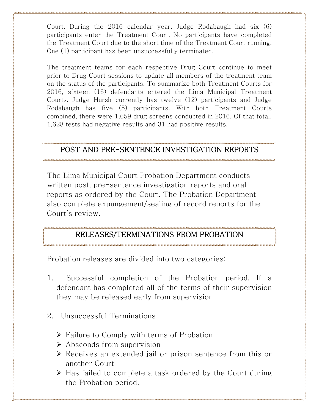Court. During the 2016 calendar year, Judge Rodabaugh had six (6) participants enter the Treatment Court. No participants have completed the Treatment Court due to the short time of the Treatment Court running. One (1) participant has been unsuccessfully terminated.

The treatment teams for each respective Drug Court continue to meet prior to Drug Court sessions to update all members of the treatment team on the status of the participants. To summarize both Treatment Courts for 2016, sixteen (16) defendants entered the Lima Municipal Treatment Courts. Judge Hursh currently has twelve (12) participants and Judge Rodabaugh has five (5) participants. With both Treatment Courts combined, there were 1,659 drug screens conducted in 2016. Of that total, 1,628 tests had negative results and 31 had positive results.

#### POST AND PRE-SENTENCE INVESTIGATION REPORTS

The Lima Municipal Court Probation Department conducts written post, pre-sentence investigation reports and oral reports as ordered by the Court. The Probation Department also complete expungement/sealing of record reports for the Court's review.

#### RELEASES/TERMINATIONS FROM PROBATION

Probation releases are divided into two categories:

- 1. Successful completion of the Probation period. If a defendant has completed all of the terms of their supervision they may be released early from supervision.
- 2. Unsuccessful Terminations
	- $\triangleright$  Failure to Comply with terms of Probation
	- $\triangleright$  Absconds from supervision
	- Receives an extended jail or prison sentence from this or another Court
	- $\triangleright$  Has failed to complete a task ordered by the Court during the Probation period.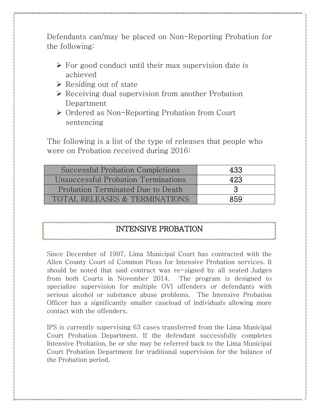Defendants can/may be placed on Non-Reporting Probation for the following:

- $\triangleright$  For good conduct until their max supervision date is achieved
- $\triangleright$  Residing out of state
- $\triangleright$  Receiving dual supervision from another Probation Department
- Ordered as Non-Reporting Probation from Court sentencing

The following is a list of the type of releases that people who were on Probation received during 2016:

| Successful Probation Completions    | 433 |
|-------------------------------------|-----|
| Unsuccessful Probation Terminations | 423 |
| Probation Terminated Due to Death   | - 2 |
| TOTAL RELEASES & TERMINATIONS       | 859 |

#### INTENSIVE PROBATION

Since December of 1997, Lima Municipal Court has contracted with the Allen County Court of Common Pleas for Intensive Probation services. It should be noted that said contract was re-signed by all seated Judges from both Courts in November 2014. The program is designed to specialize supervision for multiple OVI offenders or defendants with serious alcohol or substance abuse problems. The Intensive Probation Officer has a significantly smaller caseload of individuals allowing more contact with the offenders.

IPS is currently supervising 63 cases transferred from the Lima Municipal Court Probation Department. If the defendant successfully completes Intensive Probation, he or she may be referred back to the Lima Municipal Court Probation Department for traditional supervision for the balance of the Probation period.